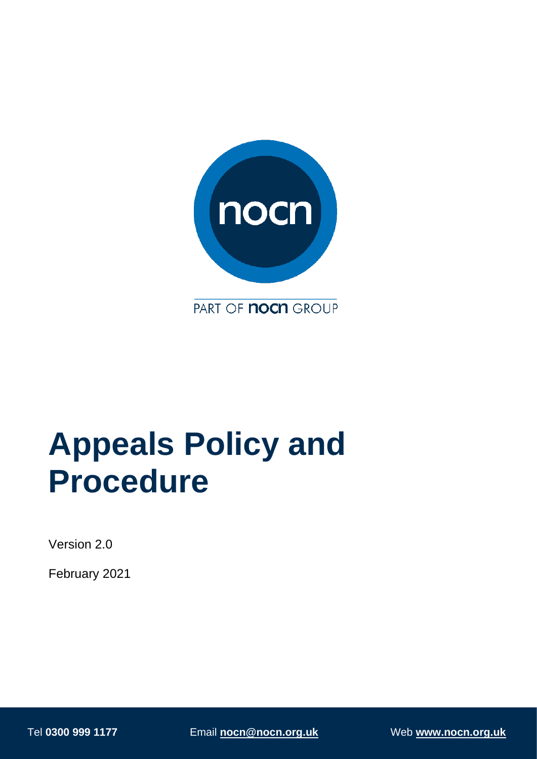

PART OF **nocn** GROUP

# **Appeals Policy and Procedure**

Version 2.0

February 2021

Tel **0300 999 1177** Email **[nocn@nocn.org.uk](mailto:nocn@nocn.org.uk)** Web **[www.nocn.org.uk](http://www.nocn.org.uk/)**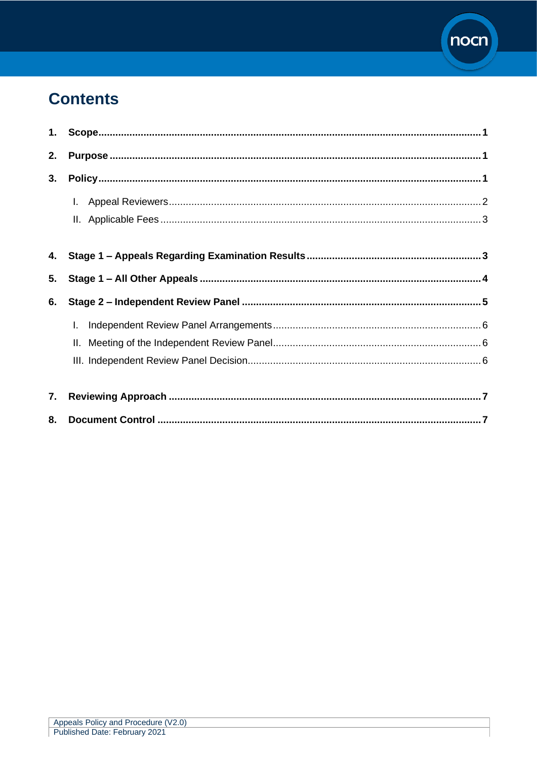

# **Contents**

| 1. |    |  |
|----|----|--|
| 2. |    |  |
| 3. |    |  |
|    | L. |  |
|    |    |  |
| 4. |    |  |
| 5. |    |  |
| 6. |    |  |
|    | I. |  |
|    | Ш. |  |
|    |    |  |
| 7. |    |  |
| 8. |    |  |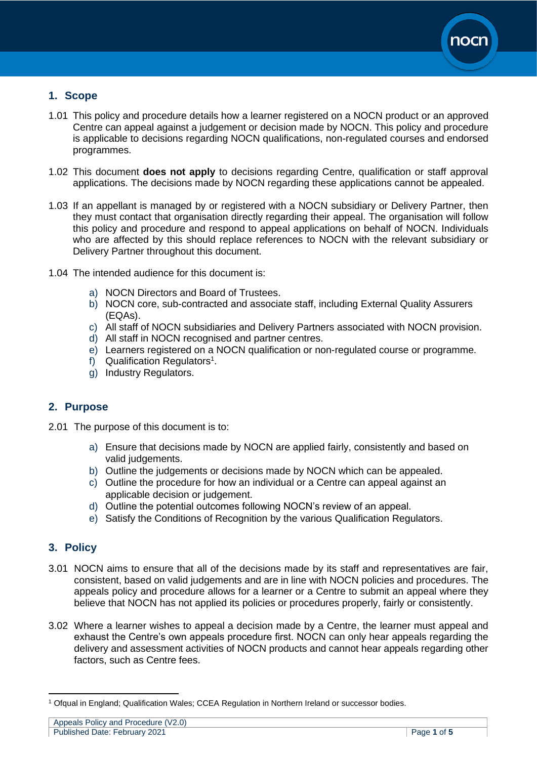

# <span id="page-2-0"></span>**1. Scope**

- 1.01 This policy and procedure details how a learner registered on a NOCN product or an approved Centre can appeal against a judgement or decision made by NOCN. This policy and procedure is applicable to decisions regarding NOCN qualifications, non-regulated courses and endorsed programmes.
- 1.02 This document **does not apply** to decisions regarding Centre, qualification or staff approval applications. The decisions made by NOCN regarding these applications cannot be appealed.
- 1.03 If an appellant is managed by or registered with a NOCN subsidiary or Delivery Partner, then they must contact that organisation directly regarding their appeal. The organisation will follow this policy and procedure and respond to appeal applications on behalf of NOCN. Individuals who are affected by this should replace references to NOCN with the relevant subsidiary or Delivery Partner throughout this document.
- 1.04 The intended audience for this document is:
	- a) NOCN Directors and Board of Trustees.
	- b) NOCN core, sub-contracted and associate staff, including External Quality Assurers (EQAs).
	- c) All staff of NOCN subsidiaries and Delivery Partners associated with NOCN provision.
	- d) All staff in NOCN recognised and partner centres.
	- e) Learners registered on a NOCN qualification or non-regulated course or programme.
	- f) Qualification Regulators<sup>1</sup>.
	- g) Industry Regulators.

## <span id="page-2-1"></span>**2. Purpose**

- 2.01 The purpose of this document is to:
	- a) Ensure that decisions made by NOCN are applied fairly, consistently and based on valid judgements.
	- b) Outline the judgements or decisions made by NOCN which can be appealed.
	- c) Outline the procedure for how an individual or a Centre can appeal against an applicable decision or judgement.
	- d) Outline the potential outcomes following NOCN's review of an appeal.
	- e) Satisfy the Conditions of Recognition by the various Qualification Regulators.

## <span id="page-2-2"></span>**3. Policy**

- 3.01 NOCN aims to ensure that all of the decisions made by its staff and representatives are fair, consistent, based on valid judgements and are in line with NOCN policies and procedures. The appeals policy and procedure allows for a learner or a Centre to submit an appeal where they believe that NOCN has not applied its policies or procedures properly, fairly or consistently.
- 3.02 Where a learner wishes to appeal a decision made by a Centre, the learner must appeal and exhaust the Centre's own appeals procedure first. NOCN can only hear appeals regarding the delivery and assessment activities of NOCN products and cannot hear appeals regarding other factors, such as Centre fees.

Appeals Policy and Procedure (V2.0) Published Date: February 2021 Page **1** of **5**

<sup>1</sup> Ofqual in England; Qualification Wales; CCEA Regulation in Northern Ireland or successor bodies.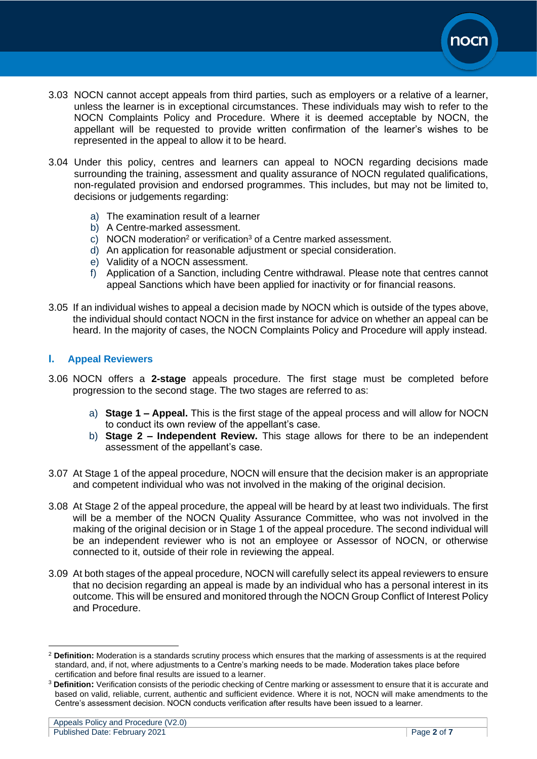

- 3.03 NOCN cannot accept appeals from third parties, such as employers or a relative of a learner, unless the learner is in exceptional circumstances. These individuals may wish to refer to the NOCN Complaints Policy and Procedure. Where it is deemed acceptable by NOCN, the appellant will be requested to provide written confirmation of the learner's wishes to be represented in the appeal to allow it to be heard.
- 3.04 Under this policy, centres and learners can appeal to NOCN regarding decisions made surrounding the training, assessment and quality assurance of NOCN regulated qualifications, non-regulated provision and endorsed programmes. This includes, but may not be limited to, decisions or judgements regarding:
	- a) The examination result of a learner
	- b) A Centre-marked assessment.
	- c) NOCN moderation<sup>2</sup> or verification<sup>3</sup> of a Centre marked assessment.
	- d) An application for reasonable adjustment or special consideration.
	- e) Validity of a NOCN assessment.
	- f) Application of a Sanction, including Centre withdrawal. Please note that centres cannot appeal Sanctions which have been applied for inactivity or for financial reasons.
- 3.05 If an individual wishes to appeal a decision made by NOCN which is outside of the types above, the individual should contact NOCN in the first instance for advice on whether an appeal can be heard. In the majority of cases, the NOCN Complaints Policy and Procedure will apply instead.

#### <span id="page-3-0"></span>**I. Appeal Reviewers**

- 3.06 NOCN offers a **2-stage** appeals procedure. The first stage must be completed before progression to the second stage. The two stages are referred to as:
	- a) **Stage 1 – Appeal.** This is the first stage of the appeal process and will allow for NOCN to conduct its own review of the appellant's case.
	- b) **Stage 2 – Independent Review.** This stage allows for there to be an independent assessment of the appellant's case.
- 3.07 At Stage 1 of the appeal procedure, NOCN will ensure that the decision maker is an appropriate and competent individual who was not involved in the making of the original decision.
- 3.08 At Stage 2 of the appeal procedure, the appeal will be heard by at least two individuals. The first will be a member of the NOCN Quality Assurance Committee, who was not involved in the making of the original decision or in Stage 1 of the appeal procedure. The second individual will be an independent reviewer who is not an employee or Assessor of NOCN, or otherwise connected to it, outside of their role in reviewing the appeal.
- 3.09 At both stages of the appeal procedure, NOCN will carefully select its appeal reviewers to ensure that no decision regarding an appeal is made by an individual who has a personal interest in its outcome. This will be ensured and monitored through the NOCN Group Conflict of Interest Policy and Procedure.

<sup>2</sup> **Definition:** Moderation is a standards scrutiny process which ensures that the marking of assessments is at the required standard, and, if not, where adjustments to a Centre's marking needs to be made. Moderation takes place before certification and before final results are issued to a learner.

<sup>3</sup> **Definition:** Verification consists of the periodic checking of Centre marking or assessment to ensure that it is accurate and based on valid, reliable, current, authentic and sufficient evidence. Where it is not, NOCN will make amendments to the Centre's assessment decision. NOCN conducts verification after results have been issued to a learner.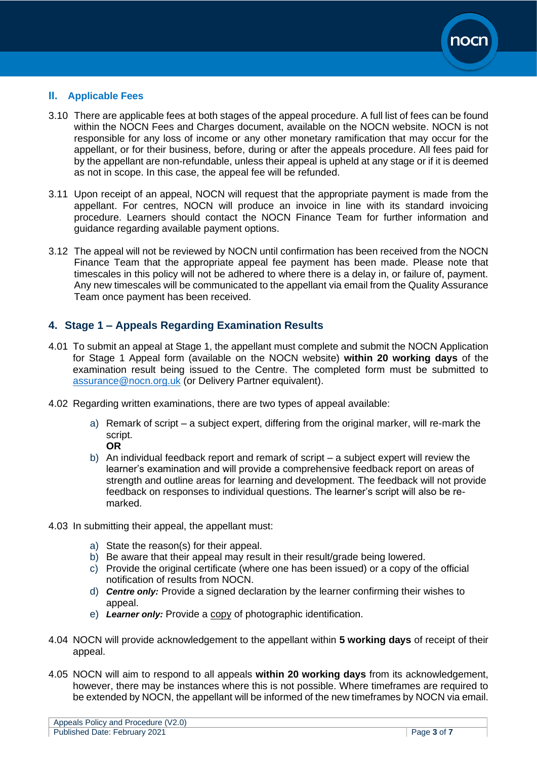

#### <span id="page-4-0"></span>**II. Applicable Fees**

- 3.10 There are applicable fees at both stages of the appeal procedure. A full list of fees can be found within the NOCN Fees and Charges document, available on the NOCN website. NOCN is not responsible for any loss of income or any other monetary ramification that may occur for the appellant, or for their business, before, during or after the appeals procedure. All fees paid for by the appellant are non-refundable, unless their appeal is upheld at any stage or if it is deemed as not in scope. In this case, the appeal fee will be refunded.
- 3.11 Upon receipt of an appeal, NOCN will request that the appropriate payment is made from the appellant. For centres, NOCN will produce an invoice in line with its standard invoicing procedure. Learners should contact the NOCN Finance Team for further information and guidance regarding available payment options.
- 3.12 The appeal will not be reviewed by NOCN until confirmation has been received from the NOCN Finance Team that the appropriate appeal fee payment has been made. Please note that timescales in this policy will not be adhered to where there is a delay in, or failure of, payment. Any new timescales will be communicated to the appellant via email from the Quality Assurance Team once payment has been received.

#### <span id="page-4-1"></span>**4. Stage 1 – Appeals Regarding Examination Results**

- 4.01 To submit an appeal at Stage 1, the appellant must complete and submit the NOCN Application for Stage 1 Appeal form (available on the NOCN website) **within 20 working days** of the examination result being issued to the Centre. The completed form must be submitted to [assurance@nocn.org.uk](mailto:assurance@nocn.org.uk) (or Delivery Partner equivalent).
- 4.02 Regarding written examinations, there are two types of appeal available:
	- a) Remark of script a subject expert, differing from the original marker, will re-mark the script. **OR**
	- b) An individual feedback report and remark of script a subject expert will review the learner's examination and will provide a comprehensive feedback report on areas of strength and outline areas for learning and development. The feedback will not provide feedback on responses to individual questions. The learner's script will also be remarked.
- 4.03 In submitting their appeal, the appellant must:
	- a) State the reason(s) for their appeal.
	- b) Be aware that their appeal may result in their result/grade being lowered.
	- c) Provide the original certificate (where one has been issued) or a copy of the official notification of results from NOCN.
	- d) *Centre only:* Provide a signed declaration by the learner confirming their wishes to appeal.
	- e) *Learner only:* Provide a copy of photographic identification.
- 4.04 NOCN will provide acknowledgement to the appellant within **5 working days** of receipt of their appeal.
- 4.05 NOCN will aim to respond to all appeals **within 20 working days** from its acknowledgement, however, there may be instances where this is not possible. Where timeframes are required to be extended by NOCN, the appellant will be informed of the new timeframes by NOCN via email.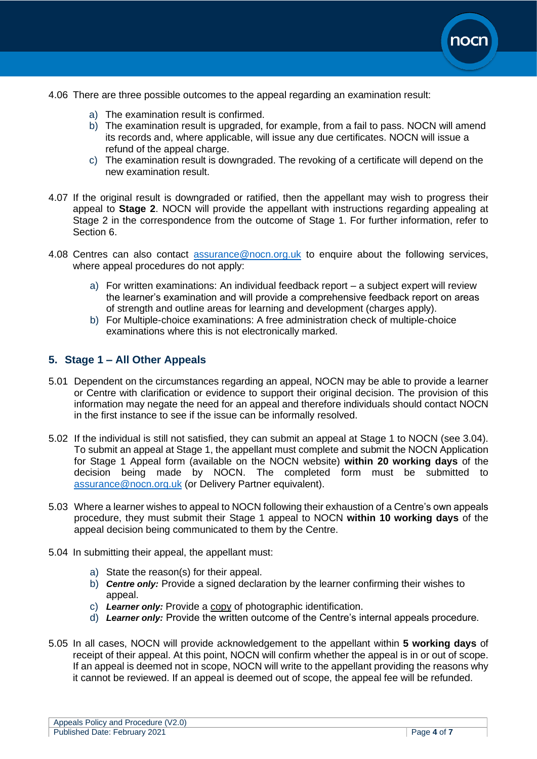

- 4.06 There are three possible outcomes to the appeal regarding an examination result:
	- a) The examination result is confirmed.
	- b) The examination result is upgraded, for example, from a fail to pass. NOCN will amend its records and, where applicable, will issue any due certificates. NOCN will issue a refund of the appeal charge.
	- c) The examination result is downgraded. The revoking of a certificate will depend on the new examination result.
- 4.07 If the original result is downgraded or ratified, then the appellant may wish to progress their appeal to **Stage 2**. NOCN will provide the appellant with instructions regarding appealing at Stage 2 in the correspondence from the outcome of Stage 1. For further information, refer to Section 6.
- 4.08 Centres can also contact [assurance@nocn.org.uk](mailto:assurance@nocn.org.uk) to enquire about the following services, where appeal procedures do not apply:
	- a) For written examinations: An individual feedback report a subject expert will review the learner's examination and will provide a comprehensive feedback report on areas of strength and outline areas for learning and development (charges apply).
	- b) For Multiple-choice examinations: A free administration check of multiple-choice examinations where this is not electronically marked.

#### <span id="page-5-0"></span>**5. Stage 1 – All Other Appeals**

- 5.01 Dependent on the circumstances regarding an appeal, NOCN may be able to provide a learner or Centre with clarification or evidence to support their original decision. The provision of this information may negate the need for an appeal and therefore individuals should contact NOCN in the first instance to see if the issue can be informally resolved.
- 5.02 If the individual is still not satisfied, they can submit an appeal at Stage 1 to NOCN (see 3.04). To submit an appeal at Stage 1, the appellant must complete and submit the NOCN Application for Stage 1 Appeal form (available on the NOCN website) **within 20 working days** of the decision being made by NOCN. The completed form must be submitted to [assurance@nocn.org.uk](mailto:assurance@nocn.org.uk) (or Delivery Partner equivalent).
- 5.03 Where a learner wishes to appeal to NOCN following their exhaustion of a Centre's own appeals procedure, they must submit their Stage 1 appeal to NOCN **within 10 working days** of the appeal decision being communicated to them by the Centre.
- 5.04 In submitting their appeal, the appellant must:
	- a) State the reason(s) for their appeal.
	- b) *Centre only:* Provide a signed declaration by the learner confirming their wishes to appeal.
	- c) *Learner only:* Provide a copy of photographic identification.
	- d) *Learner only:* Provide the written outcome of the Centre's internal appeals procedure.
- 5.05 In all cases, NOCN will provide acknowledgement to the appellant within **5 working days** of receipt of their appeal. At this point, NOCN will confirm whether the appeal is in or out of scope. If an appeal is deemed not in scope, NOCN will write to the appellant providing the reasons why it cannot be reviewed. If an appeal is deemed out of scope, the appeal fee will be refunded.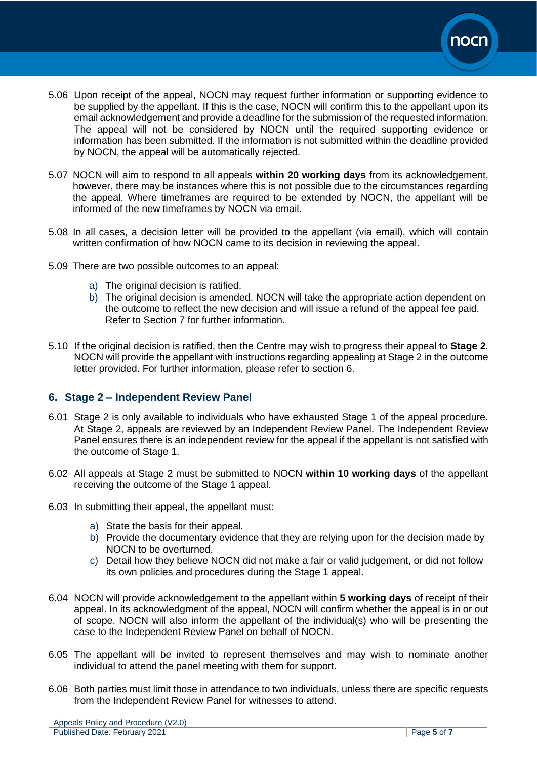

- 5.06 Upon receipt of the appeal, NOCN may request further information or supporting evidence to be supplied by the appellant. If this is the case, NOCN will confirm this to the appellant upon its email acknowledgement and provide a deadline for the submission of the requested information. The appeal will not be considered by NOCN until the required supporting evidence or information has been submitted. If the information is not submitted within the deadline provided by NOCN, the appeal will be automatically rejected.
- 5.07 NOCN will aim to respond to all appeals **within 20 working days** from its acknowledgement, however, there may be instances where this is not possible due to the circumstances regarding the appeal. Where timeframes are required to be extended by NOCN, the appellant will be informed of the new timeframes by NOCN via email.
- 5.08 In all cases, a decision letter will be provided to the appellant (via email), which will contain written confirmation of how NOCN came to its decision in reviewing the appeal.
- 5.09 There are two possible outcomes to an appeal:
	- a) The original decision is ratified.
	- b) The original decision is amended. NOCN will take the appropriate action dependent on the outcome to reflect the new decision and will issue a refund of the appeal fee paid. Refer to Section 7 for further information.
- 5.10 If the original decision is ratified, then the Centre may wish to progress their appeal to **Stage 2**. NOCN will provide the appellant with instructions regarding appealing at Stage 2 in the outcome letter provided. For further information, please refer to section 6.

## <span id="page-6-0"></span>**6. Stage 2 – Independent Review Panel**

- 6.01 Stage 2 is only available to individuals who have exhausted Stage 1 of the appeal procedure. At Stage 2, appeals are reviewed by an Independent Review Panel. The Independent Review Panel ensures there is an independent review for the appeal if the appellant is not satisfied with the outcome of Stage 1.
- 6.02 All appeals at Stage 2 must be submitted to NOCN **within 10 working days** of the appellant receiving the outcome of the Stage 1 appeal.
- 6.03 In submitting their appeal, the appellant must:
	- a) State the basis for their appeal.
	- b) Provide the documentary evidence that they are relying upon for the decision made by NOCN to be overturned.
	- c) Detail how they believe NOCN did not make a fair or valid judgement, or did not follow its own policies and procedures during the Stage 1 appeal.
- 6.04 NOCN will provide acknowledgement to the appellant within **5 working days** of receipt of their appeal. In its acknowledgment of the appeal, NOCN will confirm whether the appeal is in or out of scope. NOCN will also inform the appellant of the individual(s) who will be presenting the case to the Independent Review Panel on behalf of NOCN.
- 6.05 The appellant will be invited to represent themselves and may wish to nominate another individual to attend the panel meeting with them for support.
- 6.06 Both parties must limit those in attendance to two individuals, unless there are specific requests from the Independent Review Panel for witnesses to attend.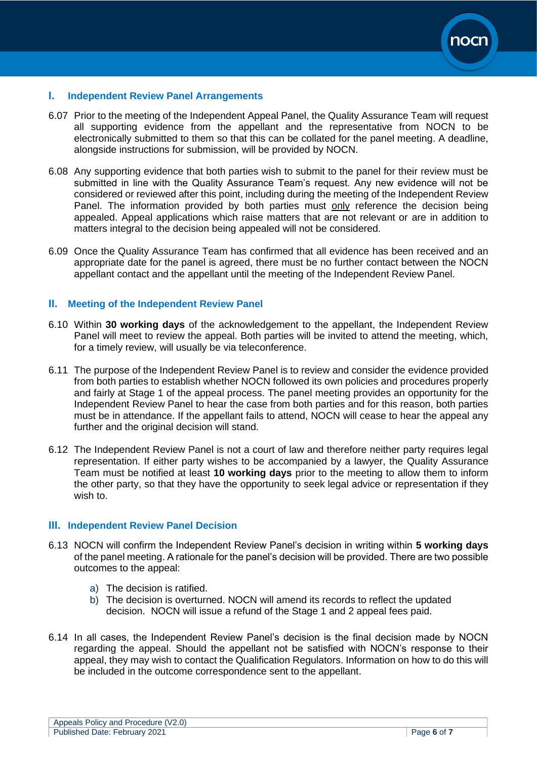

#### <span id="page-7-0"></span>**I. Independent Review Panel Arrangements**

- 6.07 Prior to the meeting of the Independent Appeal Panel, the Quality Assurance Team will request all supporting evidence from the appellant and the representative from NOCN to be electronically submitted to them so that this can be collated for the panel meeting. A deadline, alongside instructions for submission, will be provided by NOCN.
- 6.08 Any supporting evidence that both parties wish to submit to the panel for their review must be submitted in line with the Quality Assurance Team's request. Any new evidence will not be considered or reviewed after this point, including during the meeting of the Independent Review Panel. The information provided by both parties must only reference the decision being appealed. Appeal applications which raise matters that are not relevant or are in addition to matters integral to the decision being appealed will not be considered.
- 6.09 Once the Quality Assurance Team has confirmed that all evidence has been received and an appropriate date for the panel is agreed, there must be no further contact between the NOCN appellant contact and the appellant until the meeting of the Independent Review Panel.

#### <span id="page-7-1"></span>**II. Meeting of the Independent Review Panel**

- 6.10 Within **30 working days** of the acknowledgement to the appellant, the Independent Review Panel will meet to review the appeal. Both parties will be invited to attend the meeting, which, for a timely review, will usually be via teleconference.
- 6.11 The purpose of the Independent Review Panel is to review and consider the evidence provided from both parties to establish whether NOCN followed its own policies and procedures properly and fairly at Stage 1 of the appeal process. The panel meeting provides an opportunity for the Independent Review Panel to hear the case from both parties and for this reason, both parties must be in attendance. If the appellant fails to attend, NOCN will cease to hear the appeal any further and the original decision will stand.
- 6.12 The Independent Review Panel is not a court of law and therefore neither party requires legal representation. If either party wishes to be accompanied by a lawyer, the Quality Assurance Team must be notified at least **10 working days** prior to the meeting to allow them to inform the other party, so that they have the opportunity to seek legal advice or representation if they wish to.

#### <span id="page-7-2"></span>**III. Independent Review Panel Decision**

- 6.13 NOCN will confirm the Independent Review Panel's decision in writing within **5 working days** of the panel meeting. A rationale for the panel's decision will be provided. There are two possible outcomes to the appeal:
	- a) The decision is ratified.
	- b) The decision is overturned. NOCN will amend its records to reflect the updated decision. NOCN will issue a refund of the Stage 1 and 2 appeal fees paid.
- <span id="page-7-3"></span>6.14 In all cases, the Independent Review Panel's decision is the final decision made by NOCN regarding the appeal. Should the appellant not be satisfied with NOCN's response to their appeal, they may wish to contact the Qualification Regulators. Information on how to do this will be included in the outcome correspondence sent to the appellant.